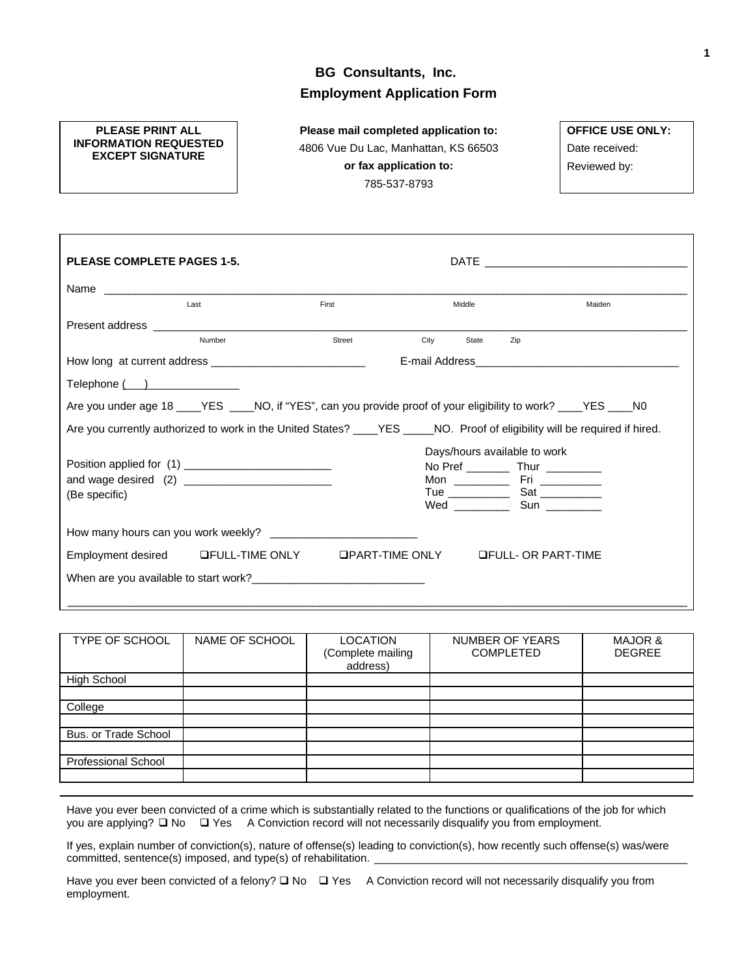# **BG Consultants, Inc. Employment Application Form**

### **PLEASE PRINT ALL INFORMATION REQUESTED EXCEPT SIGNATURE**

**Please mail completed application to:**  4806 Vue Du Lac, Manhattan, KS 66503 **or fax application to:**  785-537-8793

**OFFICE USE ONLY:**  Date received: Reviewed by:

| <b>PLEASE COMPLETE PAGES 1-5.</b>                                                                                                                                                                                              |        |        |      |        | $\mathsf{DATE}$ , and the set of the set of the set of the set of the set of the set of the set of the set of the set of the set of the set of the set of the set of the set of the set of the set of the set of the set of the set |        |  |
|--------------------------------------------------------------------------------------------------------------------------------------------------------------------------------------------------------------------------------|--------|--------|------|--------|-------------------------------------------------------------------------------------------------------------------------------------------------------------------------------------------------------------------------------------|--------|--|
|                                                                                                                                                                                                                                |        |        |      |        |                                                                                                                                                                                                                                     |        |  |
|                                                                                                                                                                                                                                | Last   | First  |      | Middle |                                                                                                                                                                                                                                     | Maiden |  |
| Present address and the contract of the contract of the contract of the contract of the contract of the contract of the contract of the contract of the contract of the contract of the contract of the contract of the contra |        |        |      |        |                                                                                                                                                                                                                                     |        |  |
|                                                                                                                                                                                                                                | Number | Street | City | State  | Zip                                                                                                                                                                                                                                 |        |  |
|                                                                                                                                                                                                                                |        |        |      |        |                                                                                                                                                                                                                                     |        |  |
| Telephone ()                                                                                                                                                                                                                   |        |        |      |        |                                                                                                                                                                                                                                     |        |  |
| Are you under age 18 _____YES ______NO, if "YES", can you provide proof of your eligibility to work? _____YES _____NO                                                                                                          |        |        |      |        |                                                                                                                                                                                                                                     |        |  |
| Are you currently authorized to work in the United States? ____YES ____NO. Proof of eligibility will be required if hired.                                                                                                     |        |        |      |        |                                                                                                                                                                                                                                     |        |  |
|                                                                                                                                                                                                                                |        |        |      |        | Days/hours available to work                                                                                                                                                                                                        |        |  |
|                                                                                                                                                                                                                                |        |        |      |        | No Pref _____________ Thur ____________                                                                                                                                                                                             |        |  |
|                                                                                                                                                                                                                                |        |        |      |        |                                                                                                                                                                                                                                     |        |  |
| (Be specific)                                                                                                                                                                                                                  |        |        |      |        |                                                                                                                                                                                                                                     |        |  |
|                                                                                                                                                                                                                                |        |        |      |        |                                                                                                                                                                                                                                     |        |  |
| Employment desired LEULL-TIME ONLY LIPART-TIME ONLY LIFULL- OR PART-TIME                                                                                                                                                       |        |        |      |        |                                                                                                                                                                                                                                     |        |  |
| When are you available to start work?<br><u> </u>                                                                                                                                                                              |        |        |      |        |                                                                                                                                                                                                                                     |        |  |
|                                                                                                                                                                                                                                |        |        |      |        |                                                                                                                                                                                                                                     |        |  |

| TYPE OF SCHOOL             | NAME OF SCHOOL | <b>LOCATION</b><br>(Complete mailing<br>address) | <b>NUMBER OF YEARS</b><br><b>COMPLETED</b> | <b>MAJOR &amp;</b><br><b>DEGREE</b> |
|----------------------------|----------------|--------------------------------------------------|--------------------------------------------|-------------------------------------|
| <b>High School</b>         |                |                                                  |                                            |                                     |
|                            |                |                                                  |                                            |                                     |
| College                    |                |                                                  |                                            |                                     |
|                            |                |                                                  |                                            |                                     |
| Bus. or Trade School       |                |                                                  |                                            |                                     |
|                            |                |                                                  |                                            |                                     |
| <b>Professional School</b> |                |                                                  |                                            |                                     |
|                            |                |                                                  |                                            |                                     |

Have you ever been convicted of a crime which is substantially related to the functions or qualifications of the job for which you are applying?  $\Box$  No  $\Box$  Yes A Conviction record will not necessarily disqualify you from employment.

If yes, explain number of conviction(s), nature of offense(s) leading to conviction(s), how recently such offense(s) was/were committed, sentence(s) imposed, and type(s) of rehabilitation.

Have you ever been convicted of a felony?  $\Box$  No  $\Box$  Yes A Conviction record will not necessarily disqualify you from employment.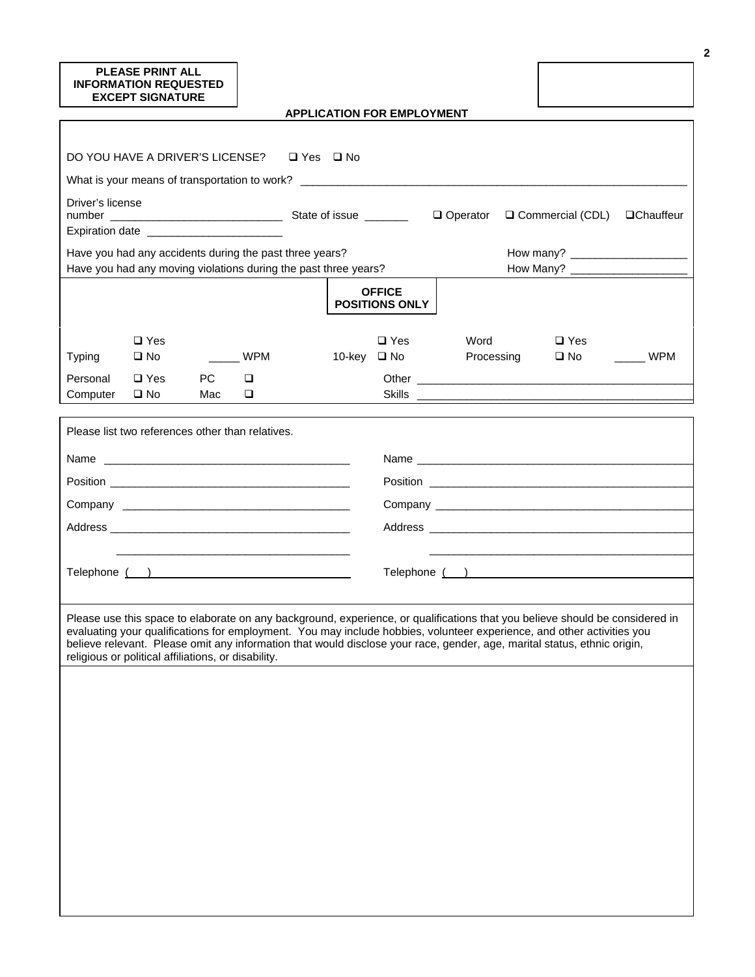### **PLEASE PRINT ALL INFORMATION REQUESTED EXCEPT SIGNATURE**

|  |  |  |  | <b>APPLICATION FOR EMPLOYMENT</b> |
|--|--|--|--|-----------------------------------|
|--|--|--|--|-----------------------------------|

| DO YOU HAVE A DRIVER'S LICENSE? □ Yes □ No                                                                                                                                                                                                                                                                                                                                                                                                |           |                 |  |        |                                        |                    |                               |     |
|-------------------------------------------------------------------------------------------------------------------------------------------------------------------------------------------------------------------------------------------------------------------------------------------------------------------------------------------------------------------------------------------------------------------------------------------|-----------|-----------------|--|--------|----------------------------------------|--------------------|-------------------------------|-----|
| What is your means of transportation to work? __________________________________                                                                                                                                                                                                                                                                                                                                                          |           |                 |  |        |                                        |                    |                               |     |
| Driver's license<br>$\Box$ Operator<br>Commercial (CDL)<br><b>QChauffeur</b><br>Expiration date ________________________                                                                                                                                                                                                                                                                                                                  |           |                 |  |        |                                        |                    |                               |     |
| Have you had any accidents during the past three years?                                                                                                                                                                                                                                                                                                                                                                                   |           |                 |  |        |                                        |                    |                               |     |
| Have you had any moving violations during the past three years?                                                                                                                                                                                                                                                                                                                                                                           |           |                 |  |        |                                        |                    |                               |     |
|                                                                                                                                                                                                                                                                                                                                                                                                                                           |           |                 |  |        | <b>OFFICE</b><br><b>POSITIONS ONLY</b> |                    |                               |     |
| $\Box$ Yes<br>$\square$ No<br><b>Typing</b><br>$\Box$ Yes<br>Personal                                                                                                                                                                                                                                                                                                                                                                     | <b>PC</b> | <b>WPM</b><br>□ |  | 10-key | $\square$ Yes<br>$\square$ No          | Word<br>Processing | $\square$ Yes<br>$\square$ No | WPM |
| $\square$ No<br>Computer                                                                                                                                                                                                                                                                                                                                                                                                                  | Mac       | □               |  |        |                                        |                    |                               |     |
|                                                                                                                                                                                                                                                                                                                                                                                                                                           |           |                 |  |        |                                        |                    |                               |     |
| Please list two references other than relatives.                                                                                                                                                                                                                                                                                                                                                                                          |           |                 |  |        |                                        |                    |                               |     |
|                                                                                                                                                                                                                                                                                                                                                                                                                                           |           |                 |  |        |                                        |                    |                               |     |
|                                                                                                                                                                                                                                                                                                                                                                                                                                           |           |                 |  |        |                                        |                    |                               |     |
|                                                                                                                                                                                                                                                                                                                                                                                                                                           |           |                 |  |        |                                        |                    |                               |     |
|                                                                                                                                                                                                                                                                                                                                                                                                                                           |           |                 |  |        |                                        |                    |                               |     |
|                                                                                                                                                                                                                                                                                                                                                                                                                                           |           |                 |  |        |                                        |                    |                               |     |
| Telephone ( )                                                                                                                                                                                                                                                                                                                                                                                                                             |           |                 |  |        |                                        |                    |                               |     |
|                                                                                                                                                                                                                                                                                                                                                                                                                                           |           |                 |  |        |                                        |                    |                               |     |
| Please use this space to elaborate on any background, experience, or qualifications that you believe should be considered in<br>evaluating your qualifications for employment. You may include hobbies, volunteer experience, and other activities you<br>believe relevant. Please omit any information that would disclose your race, gender, age, marital status, ethnic origin,<br>religious or political affiliations, or disability. |           |                 |  |        |                                        |                    |                               |     |
|                                                                                                                                                                                                                                                                                                                                                                                                                                           |           |                 |  |        |                                        |                    |                               |     |
|                                                                                                                                                                                                                                                                                                                                                                                                                                           |           |                 |  |        |                                        |                    |                               |     |
|                                                                                                                                                                                                                                                                                                                                                                                                                                           |           |                 |  |        |                                        |                    |                               |     |
|                                                                                                                                                                                                                                                                                                                                                                                                                                           |           |                 |  |        |                                        |                    |                               |     |
|                                                                                                                                                                                                                                                                                                                                                                                                                                           |           |                 |  |        |                                        |                    |                               |     |
|                                                                                                                                                                                                                                                                                                                                                                                                                                           |           |                 |  |        |                                        |                    |                               |     |
|                                                                                                                                                                                                                                                                                                                                                                                                                                           |           |                 |  |        |                                        |                    |                               |     |
|                                                                                                                                                                                                                                                                                                                                                                                                                                           |           |                 |  |        |                                        |                    |                               |     |
|                                                                                                                                                                                                                                                                                                                                                                                                                                           |           |                 |  |        |                                        |                    |                               |     |
|                                                                                                                                                                                                                                                                                                                                                                                                                                           |           |                 |  |        |                                        |                    |                               |     |
|                                                                                                                                                                                                                                                                                                                                                                                                                                           |           |                 |  |        |                                        |                    |                               |     |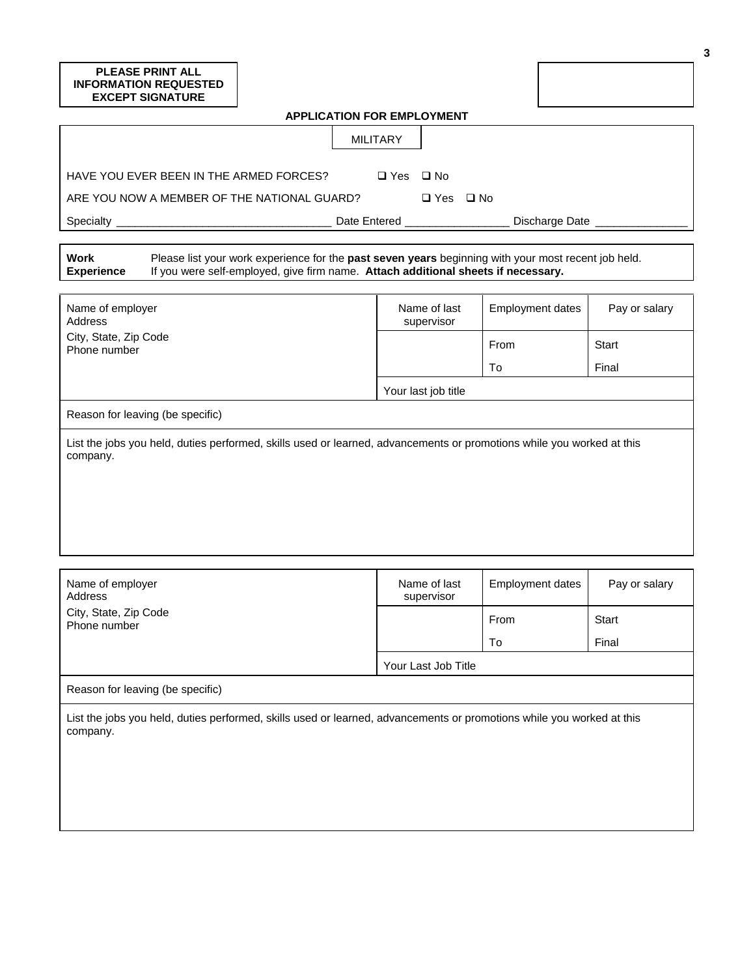### **PLEASE PRINT ALL INFORMATION REQUESTED EXCEPT SIGNATURE**

| <b>APPLICATION FOR EMPLOYMENT</b>                                                                                                                                                                                     |                                  |                            |                         |  |                          |  |
|-----------------------------------------------------------------------------------------------------------------------------------------------------------------------------------------------------------------------|----------------------------------|----------------------------|-------------------------|--|--------------------------|--|
|                                                                                                                                                                                                                       | <b>MILITARY</b>                  |                            |                         |  |                          |  |
| HAVE YOU EVER BEEN IN THE ARMED FORCES?<br>ARE YOU NOW A MEMBER OF THE NATIONAL GUARD?                                                                                                                                | □ Yes □ No                       | $\Box$ Yes $\Box$ No       |                         |  |                          |  |
|                                                                                                                                                                                                                       | Date Entered ___________________ |                            |                         |  | Discharge Date _________ |  |
| Work<br>Please list your work experience for the past seven years beginning with your most recent job held.<br>If you were self-employed, give firm name. Attach additional sheets if necessary.<br><b>Experience</b> |                                  |                            |                         |  |                          |  |
| Name of employer<br>Address                                                                                                                                                                                           |                                  | Name of last<br>supervisor | <b>Employment dates</b> |  | Pay or salary            |  |
| City, State, Zip Code<br>Phone number                                                                                                                                                                                 |                                  |                            | From                    |  | <b>Start</b>             |  |
|                                                                                                                                                                                                                       |                                  |                            | To                      |  | Final                    |  |
|                                                                                                                                                                                                                       |                                  | Your last job title        |                         |  |                          |  |
| Reason for leaving (be specific)                                                                                                                                                                                      |                                  |                            |                         |  |                          |  |

List the jobs you held, duties performed, skills used or learned, advancements or promotions while you worked at this company.

| Name of employer<br>Address                                                                                                    | Name of last<br>supervisor | Employment dates | Pay or salary |
|--------------------------------------------------------------------------------------------------------------------------------|----------------------------|------------------|---------------|
| City, State, Zip Code<br>Phone number                                                                                          |                            | From             | <b>Start</b>  |
|                                                                                                                                |                            | To               | Final         |
|                                                                                                                                | Your Last Job Title        |                  |               |
| Reason for leaving (be specific)                                                                                               |                            |                  |               |
| امتطففه ادمراسون ريمرز مانطرز مومندموموسوسم مدوموهم ومستحمل وموسمها سمامي والترام الممجومة ومشراب الملمط رزمرز مطمئ مطففها الر |                            |                  |               |

List the jobs you held, duties performed, skills used or learned, advancements or promotions while you worked at this company.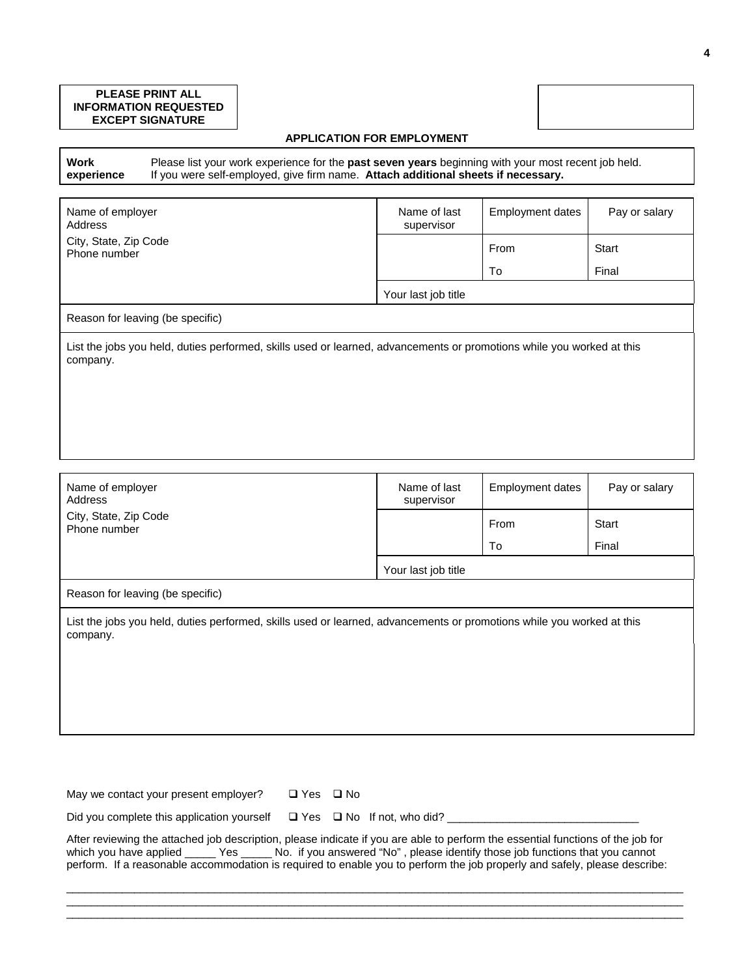### **PLEASE PRINT ALL INFORMATION REQUESTED EXCEPT SIGNATURE**

### **APPLICATION FOR EMPLOYMENT**

**Work experience** Please list your work experience for the **past seven years** beginning with your most recent job held. If you were self-employed, give firm name. **Attach additional sheets if necessary.**

| Name of employer<br>Address                                                                                                       | Name of last<br>supervisor | <b>Employment dates</b> | Pay or salary |  |  |
|-----------------------------------------------------------------------------------------------------------------------------------|----------------------------|-------------------------|---------------|--|--|
| City, State, Zip Code<br>Phone number                                                                                             |                            | From                    | Start         |  |  |
|                                                                                                                                   |                            | To                      | Final         |  |  |
|                                                                                                                                   | Your last job title        |                         |               |  |  |
| Reason for leaving (be specific)                                                                                                  |                            |                         |               |  |  |
| List the jobs you held, duties performed, skills used or learned, advancements or promotions while you worked at this<br>company. |                            |                         |               |  |  |
|                                                                                                                                   |                            |                         |               |  |  |
|                                                                                                                                   |                            |                         |               |  |  |
|                                                                                                                                   |                            |                         |               |  |  |

| Name of last<br>supervisor       | <b>Employment dates</b> | Pay or salary                                                                                                         |  |  |  |
|----------------------------------|-------------------------|-----------------------------------------------------------------------------------------------------------------------|--|--|--|
|                                  | From                    | Start                                                                                                                 |  |  |  |
|                                  | To                      | Final                                                                                                                 |  |  |  |
| Your last job title              |                         |                                                                                                                       |  |  |  |
| Reason for leaving (be specific) |                         |                                                                                                                       |  |  |  |
|                                  |                         |                                                                                                                       |  |  |  |
|                                  |                         | List the jobs you held, duties performed, skills used or learned, advancements or promotions while you worked at this |  |  |  |

May we contact your present employer?  $\Box$  Yes  $\Box$  No

Did you complete this application yourself Yes No If not, who did? \_\_\_\_\_\_\_\_\_\_\_\_\_\_\_\_\_\_\_\_\_\_\_\_\_\_\_\_\_\_\_

| After reviewing the attached job description, please indicate if you are able to perform the essential functions of the job for |     |  |  |                                                                                |  |
|---------------------------------------------------------------------------------------------------------------------------------|-----|--|--|--------------------------------------------------------------------------------|--|
| which you have applied _                                                                                                        | Yes |  |  | No. if you answered "No" , please identify those job functions that you cannot |  |
| perform. If a reasonable accommodation is required to enable you to perform the job properly and safely, please describe:       |     |  |  |                                                                                |  |

\_\_\_\_\_\_\_\_\_\_\_\_\_\_\_\_\_\_\_\_\_\_\_\_\_\_\_\_\_\_\_\_\_\_\_\_\_\_\_\_\_\_\_\_\_\_\_\_\_\_\_\_\_\_\_\_\_\_\_\_\_\_\_\_\_\_\_\_\_\_\_\_\_\_\_\_\_\_\_\_\_\_\_\_\_\_\_\_\_\_\_\_\_\_\_\_\_\_\_\_ \_\_\_\_\_\_\_\_\_\_\_\_\_\_\_\_\_\_\_\_\_\_\_\_\_\_\_\_\_\_\_\_\_\_\_\_\_\_\_\_\_\_\_\_\_\_\_\_\_\_\_\_\_\_\_\_\_\_\_\_\_\_\_\_\_\_\_\_\_\_\_\_\_\_\_\_\_\_\_\_\_\_\_\_\_\_\_\_\_\_\_\_\_\_\_\_\_\_\_\_ \_\_\_\_\_\_\_\_\_\_\_\_\_\_\_\_\_\_\_\_\_\_\_\_\_\_\_\_\_\_\_\_\_\_\_\_\_\_\_\_\_\_\_\_\_\_\_\_\_\_\_\_\_\_\_\_\_\_\_\_\_\_\_\_\_\_\_\_\_\_\_\_\_\_\_\_\_\_\_\_\_\_\_\_\_\_\_\_\_\_\_\_\_\_\_\_\_\_\_\_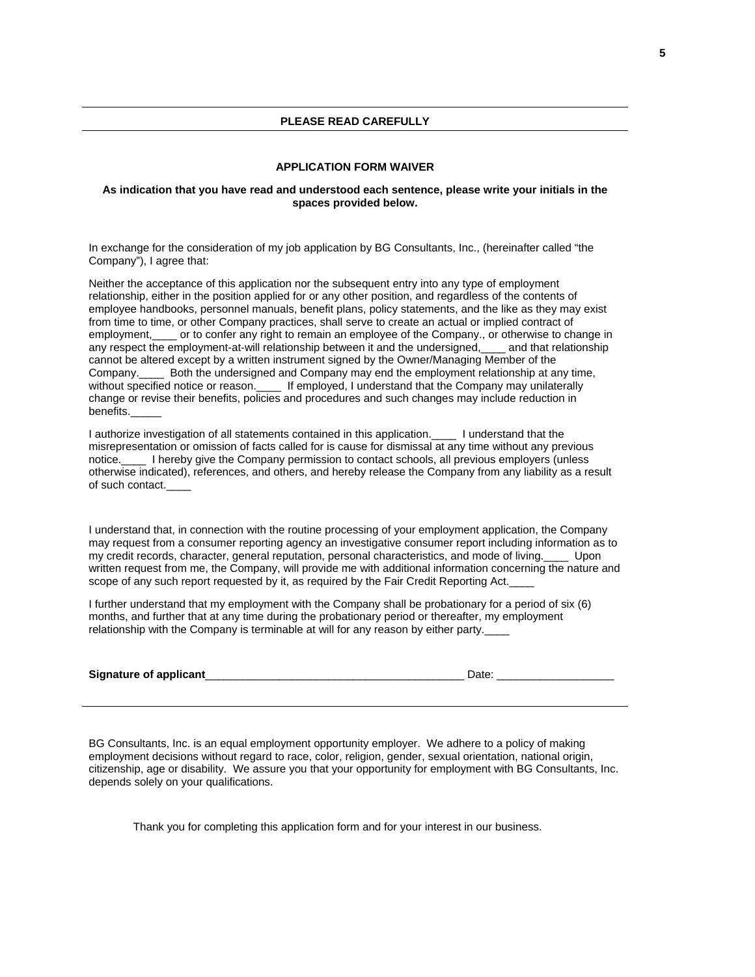#### **APPLICATION FORM WAIVER**

#### **As indication that you have read and understood each sentence, please write your initials in the spaces provided below.**

In exchange for the consideration of my job application by BG Consultants, Inc., (hereinafter called "the Company"), I agree that:

Neither the acceptance of this application nor the subsequent entry into any type of employment relationship, either in the position applied for or any other position, and regardless of the contents of employee handbooks, personnel manuals, benefit plans, policy statements, and the like as they may exist from time to time, or other Company practices, shall serve to create an actual or implied contract of employment,\_\_\_\_ or to confer any right to remain an employee of the Company., or otherwise to change in any respect the employment-at-will relationship between it and the undersigned, and that relationship cannot be altered except by a written instrument signed by the Owner/Managing Member of the Company.\_\_\_\_ Both the undersigned and Company may end the employment relationship at any time, without specified notice or reason. \_\_\_\_\_ If employed, I understand that the Company may unilaterally change or revise their benefits, policies and procedures and such changes may include reduction in benefits.\_\_\_\_\_

I authorize investigation of all statements contained in this application.\_\_\_\_ I understand that the misrepresentation or omission of facts called for is cause for dismissal at any time without any previous notice. I hereby give the Company permission to contact schools, all previous employers (unless otherwise indicated), references, and others, and hereby release the Company from any liability as a result of such contact.\_\_\_\_

I understand that, in connection with the routine processing of your employment application, the Company may request from a consumer reporting agency an investigative consumer report including information as to my credit records, character, general reputation, personal characteristics, and mode of living.\_\_\_\_ Upon written request from me, the Company, will provide me with additional information concerning the nature and scope of any such report requested by it, as required by the Fair Credit Reporting Act.

I further understand that my employment with the Company shall be probationary for a period of six (6) months, and further that at any time during the probationary period or thereafter, my employment relationship with the Company is terminable at will for any reason by either party.

| Signature of applicant |  |
|------------------------|--|
|                        |  |

BG Consultants, Inc. is an equal employment opportunity employer. We adhere to a policy of making employment decisions without regard to race, color, religion, gender, sexual orientation, national origin, citizenship, age or disability. We assure you that your opportunity for employment with BG Consultants, Inc. depends solely on your qualifications.

Thank you for completing this application form and for your interest in our business.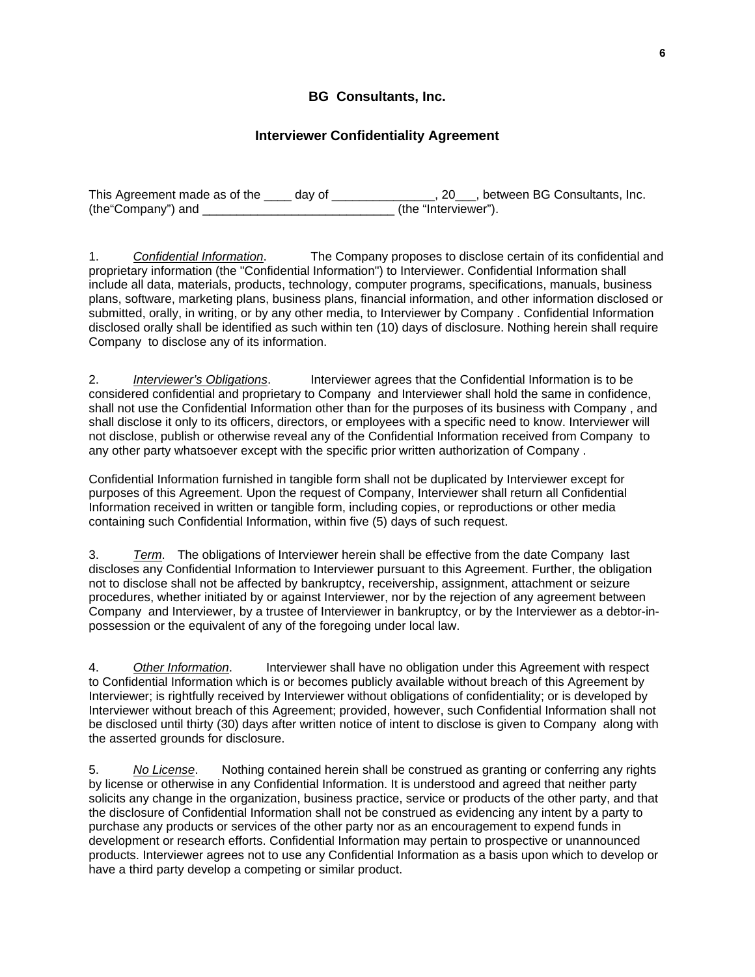# **BG Consultants, Inc.**

## **Interviewer Confidentiality Agreement**

| This Agreement made as of the | day of | , between BG Consultants, Inc. |
|-------------------------------|--------|--------------------------------|
| (the "Company") and           |        | (the "Interviewer").           |

1. *Confidential Information*. The Company proposes to disclose certain of its confidential and proprietary information (the "Confidential Information") to Interviewer. Confidential Information shall include all data, materials, products, technology, computer programs, specifications, manuals, business plans, software, marketing plans, business plans, financial information, and other information disclosed or submitted, orally, in writing, or by any other media, to Interviewer by Company . Confidential Information disclosed orally shall be identified as such within ten (10) days of disclosure. Nothing herein shall require Company to disclose any of its information.

2. *Interviewer's Obligations*. Interviewer agrees that the Confidential Information is to be considered confidential and proprietary to Company and Interviewer shall hold the same in confidence, shall not use the Confidential Information other than for the purposes of its business with Company , and shall disclose it only to its officers, directors, or employees with a specific need to know. Interviewer will not disclose, publish or otherwise reveal any of the Confidential Information received from Company to any other party whatsoever except with the specific prior written authorization of Company .

Confidential Information furnished in tangible form shall not be duplicated by Interviewer except for purposes of this Agreement. Upon the request of Company, Interviewer shall return all Confidential Information received in written or tangible form, including copies, or reproductions or other media containing such Confidential Information, within five (5) days of such request.

3. *Term*. The obligations of Interviewer herein shall be effective from the date Company last discloses any Confidential Information to Interviewer pursuant to this Agreement. Further, the obligation not to disclose shall not be affected by bankruptcy, receivership, assignment, attachment or seizure procedures, whether initiated by or against Interviewer, nor by the rejection of any agreement between Company and Interviewer, by a trustee of Interviewer in bankruptcy, or by the Interviewer as a debtor-inpossession or the equivalent of any of the foregoing under local law.

4.*Other Information*. Interviewer shall have no obligation under this Agreement with respect to Confidential Information which is or becomes publicly available without breach of this Agreement by Interviewer; is rightfully received by Interviewer without obligations of confidentiality; or is developed by Interviewer without breach of this Agreement; provided, however, such Confidential Information shall not be disclosed until thirty (30) days after written notice of intent to disclose is given to Company along with the asserted grounds for disclosure.

5.*No License*. Nothing contained herein shall be construed as granting or conferring any rights by license or otherwise in any Confidential Information. It is understood and agreed that neither party solicits any change in the organization, business practice, service or products of the other party, and that the disclosure of Confidential Information shall not be construed as evidencing any intent by a party to purchase any products or services of the other party nor as an encouragement to expend funds in development or research efforts. Confidential Information may pertain to prospective or unannounced products. Interviewer agrees not to use any Confidential Information as a basis upon which to develop or have a third party develop a competing or similar product.